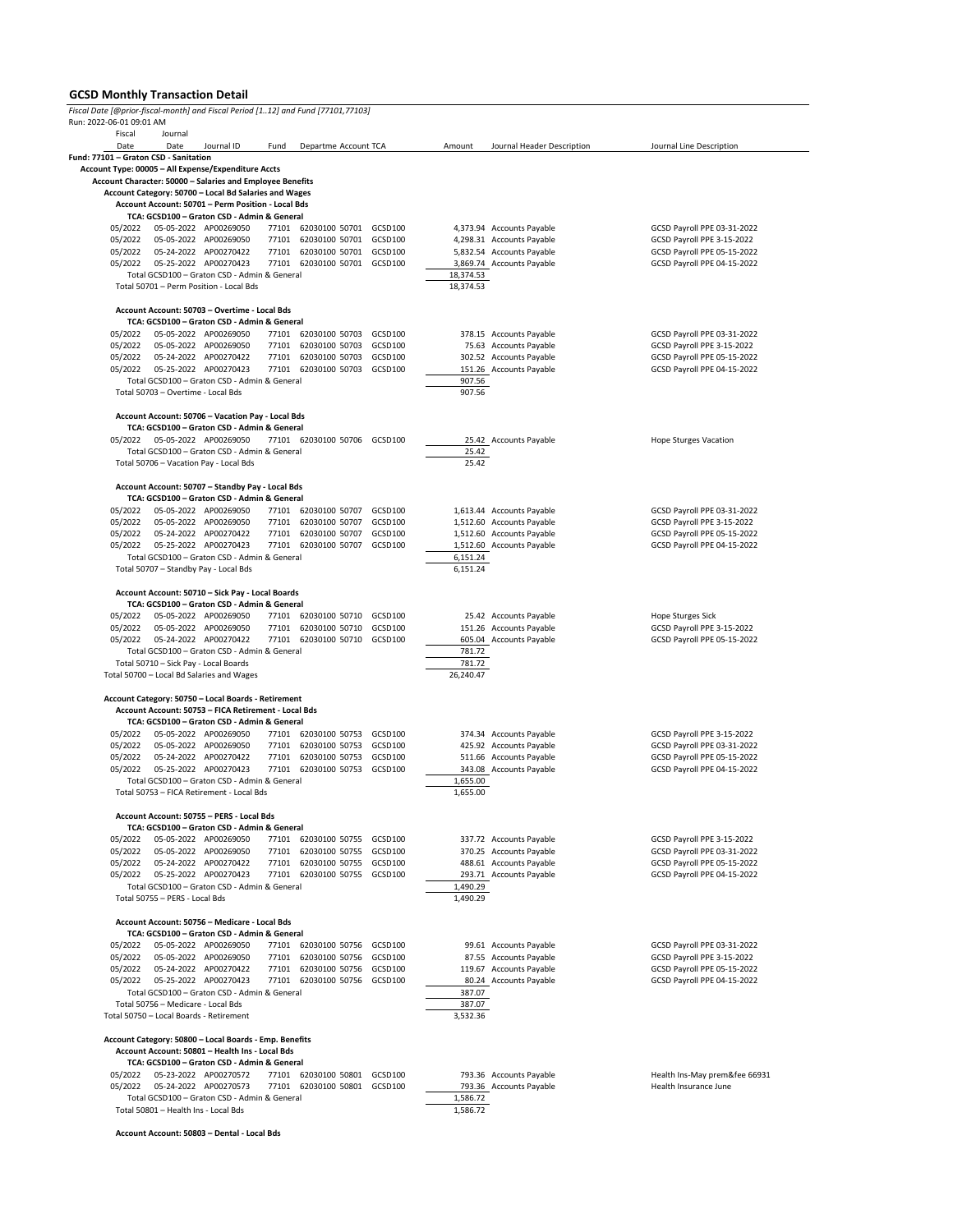## **GCSD Monthly Transaction Detail**

| Run: 2022-06-01 09:01 AM<br>Fiscal |                                         |                                                                                                             |       |                                  |         |                      |                            |                                                           |
|------------------------------------|-----------------------------------------|-------------------------------------------------------------------------------------------------------------|-------|----------------------------------|---------|----------------------|----------------------------|-----------------------------------------------------------|
|                                    | Journal                                 |                                                                                                             |       |                                  |         |                      |                            |                                                           |
| Date                               | Date                                    | Journal ID                                                                                                  | Fund  | Departme Account TCA             |         | Amount               | Journal Header Description | Journal Line Description                                  |
|                                    | Fund: 77101 - Graton CSD - Sanitation   |                                                                                                             |       |                                  |         |                      |                            |                                                           |
|                                    |                                         | Account Type: 00005 - All Expense/Expenditure Accts                                                         |       |                                  |         |                      |                            |                                                           |
|                                    |                                         | Account Character: 50000 - Salaries and Employee Benefits                                                   |       |                                  |         |                      |                            |                                                           |
|                                    |                                         | Account Category: 50700 - Local Bd Salaries and Wages<br>Account Account: 50701 - Perm Position - Local Bds |       |                                  |         |                      |                            |                                                           |
|                                    |                                         | TCA: GCSD100 - Graton CSD - Admin & General                                                                 |       |                                  |         |                      |                            |                                                           |
| 05/2022                            |                                         | 05-05-2022 AP00269050                                                                                       |       | 77101 62030100 50701 GCSD100     |         |                      | 4,373.94 Accounts Payable  | GCSD Payroll PPE 03-31-2022                               |
| 05/2022                            |                                         | 05-05-2022 AP00269050                                                                                       | 77101 | 62030100 50701                   | GCSD100 |                      | 4,298.31 Accounts Payable  | GCSD Payroll PPE 3-15-2022                                |
| 05/2022                            |                                         | 05-24-2022 AP00270422                                                                                       |       | 77101 62030100 50701 GCSD100     |         |                      | 5,832.54 Accounts Payable  | GCSD Payroll PPE 05-15-2022                               |
| 05/2022                            |                                         | 05-25-2022 AP00270423                                                                                       |       | 77101 62030100 50701 GCSD100     |         |                      | 3,869.74 Accounts Payable  | GCSD Payroll PPE 04-15-2022                               |
|                                    |                                         | Total GCSD100 - Graton CSD - Admin & General                                                                |       |                                  |         | 18,374.53            |                            |                                                           |
|                                    |                                         | Total 50701 - Perm Position - Local Bds                                                                     |       |                                  |         | 18,374.53            |                            |                                                           |
|                                    |                                         |                                                                                                             |       |                                  |         |                      |                            |                                                           |
|                                    |                                         | Account Account: 50703 - Overtime - Local Bds                                                               |       |                                  |         |                      |                            |                                                           |
| 05/2022                            |                                         | TCA: GCSD100 - Graton CSD - Admin & General<br>05-05-2022 AP00269050                                        |       | 77101 62030100 50703             | GCSD100 |                      | 378.15 Accounts Payable    |                                                           |
| 05/2022                            |                                         | 05-05-2022 AP00269050                                                                                       |       | 77101 62030100 50703             | GCSD100 |                      | 75.63 Accounts Payable     | GCSD Payroll PPE 03-31-2022<br>GCSD Payroll PPE 3-15-2022 |
| 05/2022                            |                                         | 05-24-2022 AP00270422                                                                                       | 77101 | 62030100 50703                   | GCSD100 |                      | 302.52 Accounts Payable    | GCSD Payroll PPE 05-15-2022                               |
| 05/2022                            |                                         | 05-25-2022 AP00270423                                                                                       |       | 77101 62030100 50703             | GCSD100 |                      | 151.26 Accounts Payable    | GCSD Payroll PPE 04-15-2022                               |
|                                    |                                         | Total GCSD100 - Graton CSD - Admin & General                                                                |       |                                  |         | 907.56               |                            |                                                           |
|                                    | Total 50703 - Overtime - Local Bds      |                                                                                                             |       |                                  |         | 907.56               |                            |                                                           |
|                                    |                                         |                                                                                                             |       |                                  |         |                      |                            |                                                           |
|                                    |                                         | Account Account: 50706 - Vacation Pay - Local Bds                                                           |       |                                  |         |                      |                            |                                                           |
|                                    |                                         | TCA: GCSD100 - Graton CSD - Admin & General                                                                 |       |                                  |         |                      |                            |                                                           |
| 05/2022                            | 05-05-2022 AP00269050                   |                                                                                                             |       | 77101 62030100 50706 GCSD100     |         |                      | 25.42 Accounts Payable     | <b>Hope Sturges Vacation</b>                              |
|                                    |                                         | Total GCSD100 - Graton CSD - Admin & General<br>Total 50706 - Vacation Pay - Local Bds                      |       |                                  |         | 25.42<br>25.42       |                            |                                                           |
|                                    |                                         |                                                                                                             |       |                                  |         |                      |                            |                                                           |
|                                    |                                         | Account Account: 50707 - Standby Pay - Local Bds                                                            |       |                                  |         |                      |                            |                                                           |
|                                    |                                         | TCA: GCSD100 - Graton CSD - Admin & General                                                                 |       |                                  |         |                      |                            |                                                           |
| 05/2022                            |                                         | 05-05-2022 AP00269050                                                                                       |       | 77101 62030100 50707             | GCSD100 |                      | 1,613.44 Accounts Payable  | GCSD Payroll PPE 03-31-2022                               |
| 05/2022                            |                                         | 05-05-2022 AP00269050                                                                                       | 77101 | 62030100 50707                   | GCSD100 |                      | 1,512.60 Accounts Payable  | GCSD Payroll PPE 3-15-2022                                |
| 05/2022                            |                                         | 05-24-2022 AP00270422                                                                                       | 77101 | 62030100 50707                   | GCSD100 |                      | 1,512.60 Accounts Payable  | GCSD Payroll PPE 05-15-2022                               |
| 05/2022                            |                                         | 05-25-2022 AP00270423                                                                                       | 77101 | 62030100 50707                   | GCSD100 |                      | 1,512.60 Accounts Payable  | GCSD Payroll PPE 04-15-2022                               |
|                                    |                                         | Total GCSD100 - Graton CSD - Admin & General                                                                |       |                                  |         | 6,151.24             |                            |                                                           |
|                                    |                                         | Total 50707 - Standby Pay - Local Bds                                                                       |       |                                  |         | 6,151.24             |                            |                                                           |
|                                    |                                         |                                                                                                             |       |                                  |         |                      |                            |                                                           |
|                                    |                                         | Account Account: 50710 - Sick Pay - Local Boards<br>TCA: GCSD100 - Graton CSD - Admin & General             |       |                                  |         |                      |                            |                                                           |
| 05/2022                            |                                         | 05-05-2022 AP00269050                                                                                       |       | 77101 62030100 50710             | GCSD100 |                      | 25.42 Accounts Payable     | Hope Sturges Sick                                         |
| 05/2022                            |                                         | 05-05-2022 AP00269050                                                                                       |       | 77101 62030100 50710             | GCSD100 |                      | 151.26 Accounts Payable    | GCSD Payroll PPE 3-15-2022                                |
|                                    |                                         |                                                                                                             |       |                                  |         |                      |                            |                                                           |
|                                    |                                         |                                                                                                             |       |                                  |         |                      |                            |                                                           |
| 05/2022                            |                                         | 05-24-2022 AP00270422<br>Total GCSD100 - Graton CSD - Admin & General                                       |       | 77101 62030100 50710             | GCSD100 | 781.72               | 605.04 Accounts Payable    | GCSD Payroll PPE 05-15-2022                               |
|                                    | Total 50710 - Sick Pay - Local Boards   |                                                                                                             |       |                                  |         | 781.72               |                            |                                                           |
|                                    |                                         | Total 50700 - Local Bd Salaries and Wages                                                                   |       |                                  |         | 26,240.47            |                            |                                                           |
|                                    |                                         |                                                                                                             |       |                                  |         |                      |                            |                                                           |
|                                    |                                         | Account Category: 50750 - Local Boards - Retirement                                                         |       |                                  |         |                      |                            |                                                           |
|                                    |                                         | Account Account: 50753 - FICA Retirement - Local Bds                                                        |       |                                  |         |                      |                            |                                                           |
|                                    |                                         | TCA: GCSD100 - Graton CSD - Admin & General                                                                 |       |                                  |         |                      |                            |                                                           |
| 05/2022                            |                                         | 05-05-2022 AP00269050                                                                                       |       | 77101 62030100 50753             | GCSD100 |                      | 374.34 Accounts Payable    | GCSD Payroll PPE 3-15-2022                                |
| 05/2022                            |                                         | 05-05-2022 AP00269050                                                                                       | 77101 | 62030100 50753                   | GCSD100 |                      | 425.92 Accounts Payable    | GCSD Payroll PPE 03-31-2022                               |
| 05/2022                            |                                         | 05-24-2022 AP00270422                                                                                       | 77101 | 62030100 50753<br>62030100 50753 | GCSD100 |                      | 511.66 Accounts Payable    | GCSD Payroll PPE 05-15-2022                               |
| 05/2022                            |                                         | 05-25-2022 AP00270423<br>Total GCSD100 - Graton CSD - Admin & General                                       | 77101 |                                  | GCSD100 |                      | 343.08 Accounts Payable    | GCSD Payroll PPE 04-15-2022                               |
|                                    |                                         | Total 50753 - FICA Retirement - Local Bds                                                                   |       |                                  |         | 1,655.00<br>1,655.00 |                            |                                                           |
|                                    |                                         |                                                                                                             |       |                                  |         |                      |                            |                                                           |
|                                    |                                         | Account Account: 50755 - PERS - Local Bds                                                                   |       |                                  |         |                      |                            |                                                           |
|                                    |                                         | TCA: GCSD100 - Graton CSD - Admin & General                                                                 |       |                                  |         |                      |                            |                                                           |
| 05/2022                            |                                         | 05-05-2022 AP00269050                                                                                       | 77101 | 62030100 50755 GCSD100           |         |                      | 337.72 Accounts Payable    | GCSD Payroll PPE 3-15-2022                                |
| 05/2022                            |                                         | 05-05-2022 AP00269050                                                                                       | 77101 | 62030100 50755                   | GCSD100 |                      | 370.25 Accounts Payable    | GCSD Payroll PPE 03-31-2022                               |
| 05/2022                            |                                         | 05-24-2022 AP00270422                                                                                       |       | 77101 62030100 50755             | GCSD100 |                      | 488.61 Accounts Payable    | GCSD Payroll PPE 05-15-2022                               |
| 05/2022                            |                                         | 05-25-2022 AP00270423                                                                                       |       | 77101 62030100 50755 GCSD100     |         |                      | 293.71 Accounts Payable    | GCSD Payroll PPE 04-15-2022                               |
|                                    |                                         | Total GCSD100 - Graton CSD - Admin & General                                                                |       |                                  |         | 1,490.29             |                            |                                                           |
|                                    | Total 50755 - PERS - Local Bds          |                                                                                                             |       |                                  |         | 1,490.29             |                            |                                                           |
|                                    |                                         | Account Account: 50756 - Medicare - Local Bds                                                               |       |                                  |         |                      |                            |                                                           |
|                                    |                                         | TCA: GCSD100 - Graton CSD - Admin & General                                                                 |       |                                  |         |                      |                            |                                                           |
| 05/2022                            |                                         | 05-05-2022 AP00269050                                                                                       |       | 77101 62030100 50756             | GCSD100 |                      | 99.61 Accounts Payable     | GCSD Payroll PPE 03-31-2022                               |
| 05/2022                            |                                         | 05-05-2022 AP00269050                                                                                       | 77101 | 62030100 50756                   | GCSD100 |                      | 87.55 Accounts Payable     | GCSD Payroll PPE 3-15-2022                                |
| 05/2022                            |                                         | 05-24-2022 AP00270422                                                                                       | 77101 | 62030100 50756                   | GCSD100 |                      | 119.67 Accounts Payable    | GCSD Payroll PPE 05-15-2022                               |
| 05/2022                            |                                         | 05-25-2022 AP00270423                                                                                       |       | 77101 62030100 50756             | GCSD100 |                      | 80.24 Accounts Payable     | GCSD Payroll PPE 04-15-2022                               |
|                                    |                                         | Total GCSD100 - Graton CSD - Admin & General                                                                |       |                                  |         | 387.07               |                            |                                                           |
|                                    | Total 50756 - Medicare - Local Bds      |                                                                                                             |       |                                  |         | 387.07               |                            |                                                           |
|                                    | Total 50750 - Local Boards - Retirement |                                                                                                             |       |                                  |         | 3,532.36             |                            |                                                           |
|                                    |                                         | Account Category: 50800 - Local Boards - Emp. Benefits                                                      |       |                                  |         |                      |                            |                                                           |
|                                    |                                         | Account Account: 50801 - Health Ins - Local Bds                                                             |       |                                  |         |                      |                            |                                                           |
|                                    |                                         | TCA: GCSD100 - Graton CSD - Admin & General                                                                 |       |                                  |         |                      |                            |                                                           |
| 05/2022                            |                                         | 05-23-2022 AP00270572                                                                                       |       | 77101 62030100 50801             | GCSD100 |                      | 793.36 Accounts Payable    |                                                           |
| 05/2022                            |                                         | 05-24-2022 AP00270573                                                                                       |       | 77101 62030100 50801             | GCSD100 |                      | 793.36 Accounts Payable    | Health Ins-May prem&fee 66931<br>Health Insurance June    |
|                                    | Total 50801 - Health Ins - Local Bds    | Total GCSD100 - Graton CSD - Admin & General                                                                |       |                                  |         | 1,586.72<br>1,586.72 |                            |                                                           |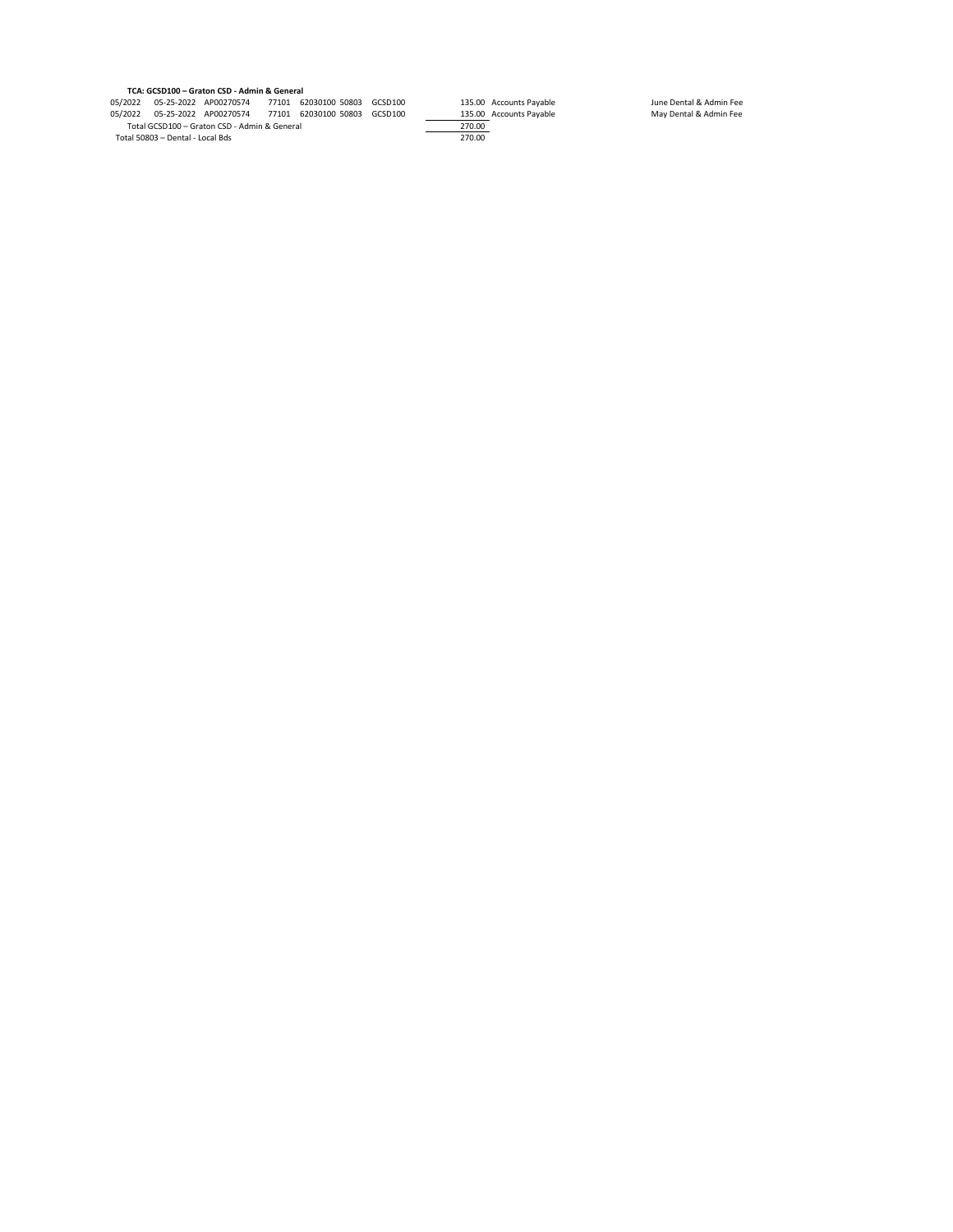## **TCA: GCSD100 – Graton CSD - Admin & General**

05/2022 05-25-2022 AP00270574 77101 62030100 50803 GCSD100 135.00 Accounts Payable June Dental & Admin Fee<br>05/2022 05-25-2022 AP00270574 77101 62030100 50803 GCSD100 135.00 Accounts Payable May Dental & Admin Fee<br>1970. 135.00 Accounts Payable<br>05/2022 05-25-2022 AP00270574 77101 62030100 50803 GCSD100 135.00 Accounts Payable<br>05/2022 05-25-2022 AP00270574 77101 62030100 50803 GCSD100 135.00 Accounts Payable<br>Total GCSD100 – Graton CSD - Adm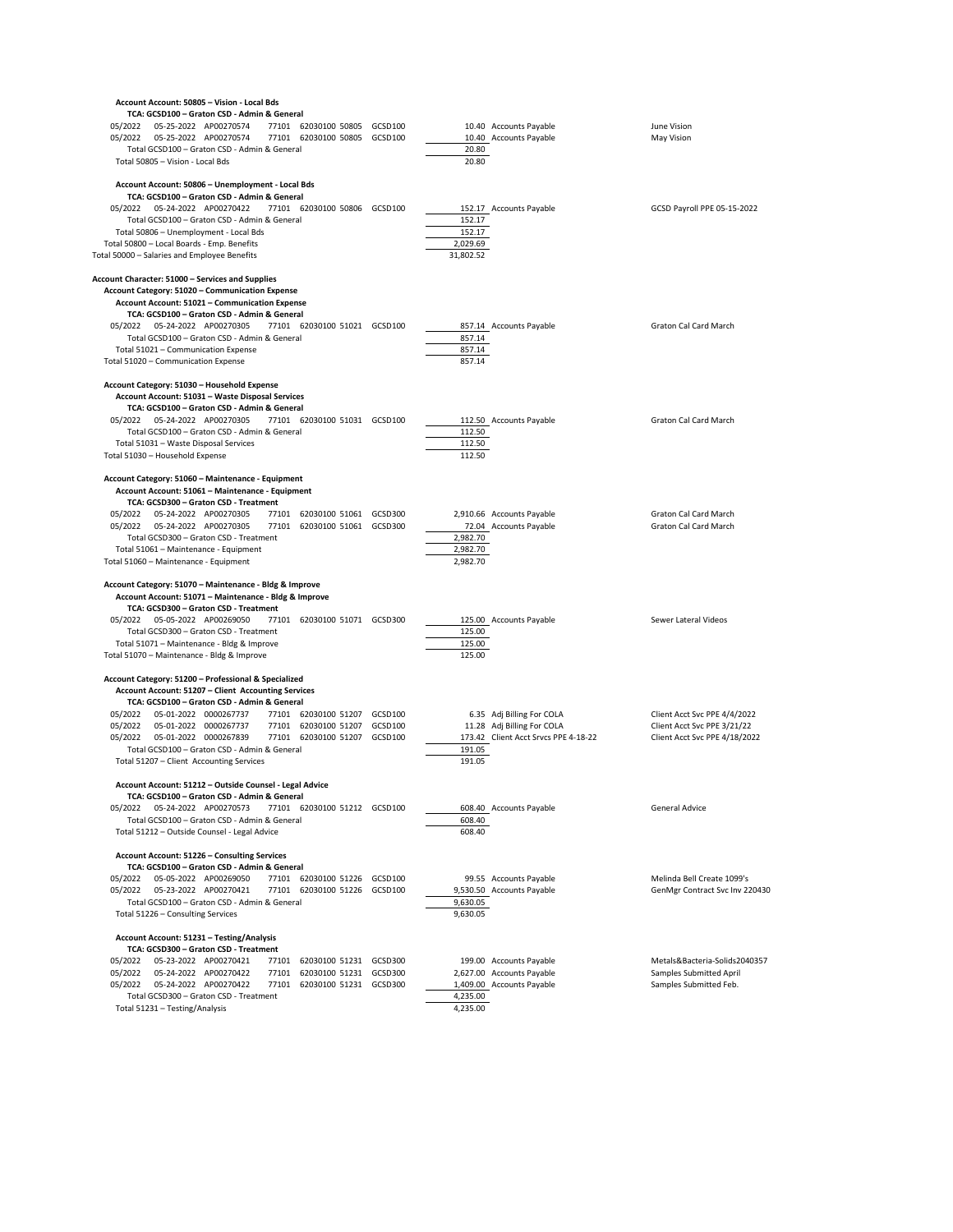| Account Account: 50805 - Vision - Local Bds                                                                                                                                                                                                                                                                                                                                                                                                                       |         |                                           |                                                                                                 |                                                                                              |
|-------------------------------------------------------------------------------------------------------------------------------------------------------------------------------------------------------------------------------------------------------------------------------------------------------------------------------------------------------------------------------------------------------------------------------------------------------------------|---------|-------------------------------------------|-------------------------------------------------------------------------------------------------|----------------------------------------------------------------------------------------------|
| TCA: GCSD100 - Graton CSD - Admin & General<br>77101 62030100 50805<br>05/2022<br>05-25-2022 AP00270574<br>77101 62030100 50805 GCSD100<br>Total GCSD100 - Graton CSD - Admin & General<br>Total 50805 - Vision - Local Bds                                                                                                                                                                                                                                       | GCSD100 | 20.80<br>20.80                            | 10.40 Accounts Payable<br>10.40 Accounts Payable                                                | June Vision<br>May Vision                                                                    |
| Account Account: 50806 - Unemployment - Local Bds<br>TCA: GCSD100 - Graton CSD - Admin & General<br>05/2022  05-24-2022  AP00270422<br>77101 62030100 50806 GCSD100<br>Total GCSD100 - Graton CSD - Admin & General<br>Total 50806 - Unemployment - Local Bds<br>Total 50800 - Local Boards - Emp. Benefits<br>Total 50000 - Salaries and Employee Benefits                                                                                                       |         | 152.17<br>152.17<br>2,029.69<br>31,802.52 | 152.17 Accounts Payable                                                                         | GCSD Payroll PPE 05-15-2022                                                                  |
| Account Character: 51000 - Services and Supplies<br>Account Category: 51020 - Communication Expense<br>Account Account: 51021 - Communication Expense<br>TCA: GCSD100 - Graton CSD - Admin & General<br>05/2022  05-24-2022  AP00270305<br>77101 62030100 51021 GCSD100<br>Total GCSD100 - Graton CSD - Admin & General<br>Total 51021 - Communication Expense<br>Total 51020 - Communication Expense                                                             |         | 857.14<br>857.14<br>857.14                | 857.14 Accounts Payable                                                                         | Graton Cal Card March                                                                        |
| Account Category: 51030 - Household Expense<br>Account Account: 51031 - Waste Disposal Services<br>TCA: GCSD100 - Graton CSD - Admin & General<br>77101 62030100 51031 GCSD100<br>05/2022<br>05-24-2022 AP00270305<br>Total GCSD100 - Graton CSD - Admin & General<br>Total 51031 - Waste Disposal Services<br>Total 51030 - Household Expense                                                                                                                    |         | 112.50<br>112.50<br>112.50                | 112.50 Accounts Payable                                                                         | Graton Cal Card March                                                                        |
| Account Category: 51060 - Maintenance - Equipment<br>Account Account: 51061 - Maintenance - Equipment<br>TCA: GCSD300 - Graton CSD - Treatment<br>05/2022<br>05-24-2022 AP00270305<br>77101 62030100 51061 GCSD300<br>05/2022  05-24-2022  AP00270305<br>77101 62030100 51061 GCSD300<br>Total GCSD300 - Graton CSD - Treatment<br>Total 51061 - Maintenance - Equipment<br>Total 51060 - Maintenance - Equipment                                                 |         | 2,982.70<br>2,982.70<br>2,982.70          | 2,910.66 Accounts Payable<br>72.04 Accounts Payable                                             | <b>Graton Cal Card March</b><br>Graton Cal Card March                                        |
| Account Category: 51070 - Maintenance - Bldg & Improve<br>Account Account: 51071 - Maintenance - Bldg & Improve<br>TCA: GCSD300 - Graton CSD - Treatment<br>05/2022  05-05-2022  AP00269050<br>77101 62030100 51071 GCSD300<br>Total GCSD300 - Graton CSD - Treatment<br>Total 51071 - Maintenance - Bldg & Improve<br>Total 51070 - Maintenance - Bldg & Improve                                                                                                 |         | 125.00<br>125.00<br>125.00                | 125.00 Accounts Payable                                                                         | Sewer Lateral Videos                                                                         |
| Account Category: 51200 - Professional & Specialized<br>Account Account: 51207 - Client Accounting Services<br>TCA: GCSD100 - Graton CSD - Admin & General<br>05/2022  05-01-2022  0000267737<br>77101 62030100 51207 GCSD100<br>05/2022<br>05-01-2022 0000267737<br>77101 62030100 51207 GCSD100<br>05/2022<br>05-01-2022 0000267839<br>77101 62030100 51207 GCSD100<br>Total GCSD100 - Graton CSD - Admin & General<br>Total 51207 - Client Accounting Services |         | 191.05<br>191.05                          | 6.35 Adj Billing For COLA<br>11.28 Adj Billing For COLA<br>173.42 Client Acct Srvcs PPE 4-18-22 | Client Acct Svc PPE 4/4/2022<br>Client Acct Svc PPE 3/21/22<br>Client Acct Svc PPE 4/18/2022 |
| Account Account: 51212 - Outside Counsel - Legal Advice<br>TCA: GCSD100 - Graton CSD - Admin & General<br>05/2022  05-24-2022  AP00270573<br>77101 62030100 51212 GCSD100<br>Total GCSD100 - Graton CSD - Admin & General<br>Total 51212 - Outside Counsel - Legal Advice                                                                                                                                                                                         |         | 608.40<br>608.40                          | 608.40 Accounts Payable                                                                         | <b>General Advice</b>                                                                        |
| Account Account: 51226 - Consulting Services<br>TCA: GCSD100 - Graton CSD - Admin & General<br>05/2022<br>05-05-2022 AP00269050<br>77101 62030100 51226 GCSD100<br>05/2022<br>05-23-2022 AP00270421<br>77101 62030100 51226 GCSD100<br>Total GCSD100 - Graton CSD - Admin & General<br>Total 51226 - Consulting Services                                                                                                                                          |         | 9,630.05<br>9,630.05                      | 99.55 Accounts Payable<br>9,530.50 Accounts Payable                                             | Melinda Bell Create 1099's<br>GenMgr Contract Svc Inv 220430                                 |
| Account Account: 51231 - Testing/Analysis<br>TCA: GCSD300 - Graton CSD - Treatment<br>05/2022<br>05-23-2022 AP00270421<br>77101<br>62030100 51231 GCSD300<br>05/2022<br>05-24-2022 AP00270422<br>77101<br>62030100 51231 GCSD300<br>05/2022<br>05-24-2022 AP00270422<br>77101<br>62030100 51231 GCSD300<br>Total GCSD300 - Graton CSD - Treatment<br>Total 51231 - Testing/Analysis                                                                               |         | 4,235.00<br>4,235.00                      | 199.00 Accounts Payable<br>2,627.00 Accounts Payable<br>1,409.00 Accounts Payable               | Metals&Bacteria-Solids2040357<br>Samples Submitted April<br>Samples Submitted Feb.           |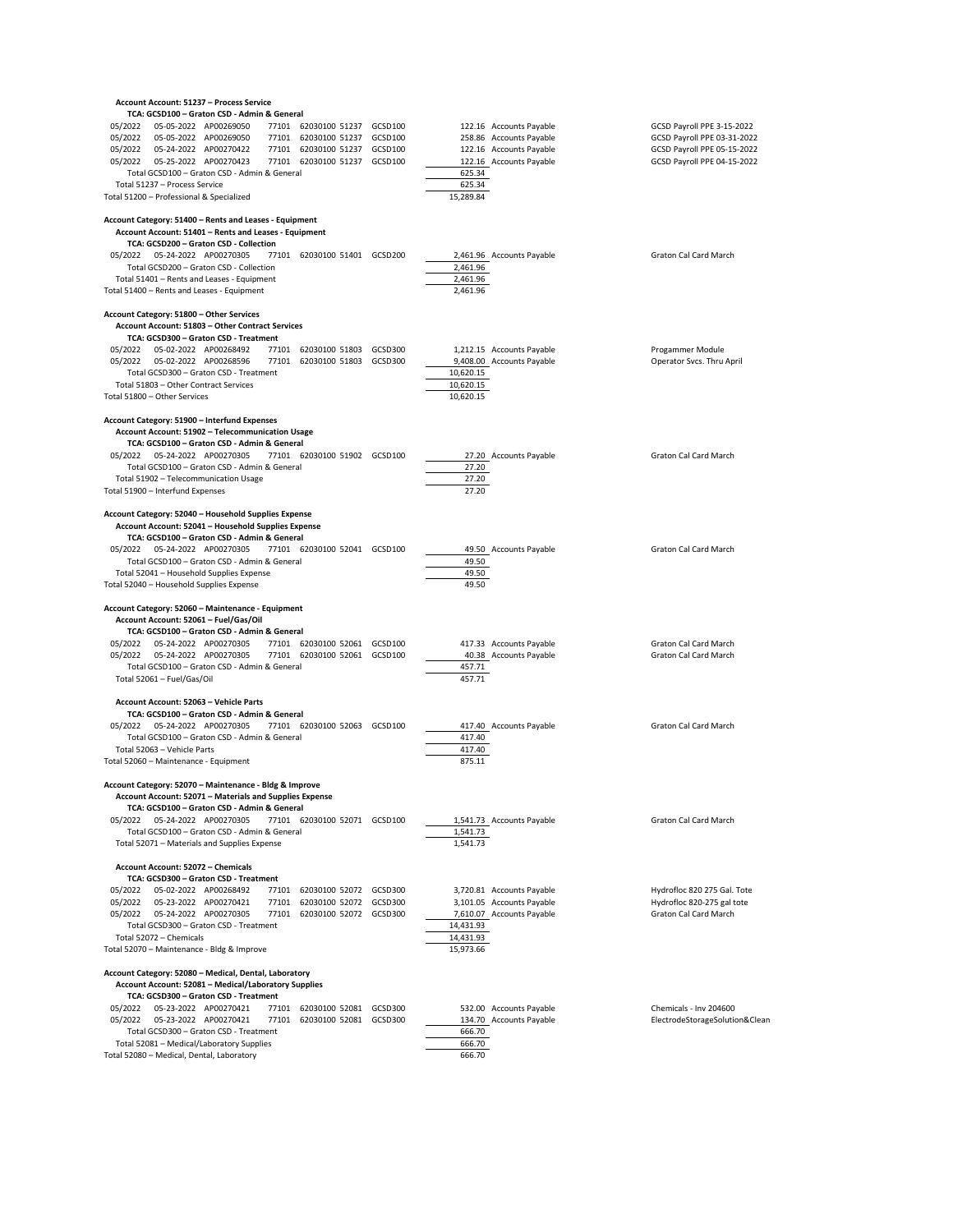|                    |                                  | Account Account: 51237 - Process Service                                                                      |       |                                                              |         |                        |                                                    |                                                            |
|--------------------|----------------------------------|---------------------------------------------------------------------------------------------------------------|-------|--------------------------------------------------------------|---------|------------------------|----------------------------------------------------|------------------------------------------------------------|
|                    |                                  | TCA: GCSD100 - Graton CSD - Admin & General                                                                   |       |                                                              |         |                        |                                                    |                                                            |
| 05/2022            |                                  | 05-05-2022 AP00269050                                                                                         |       | 77101 62030100 51237 GCSD100                                 |         |                        | 122.16 Accounts Payable                            | GCSD Payroll PPE 3-15-2022                                 |
| 05/2022<br>05/2022 |                                  | 05-05-2022 AP00269050<br>05-24-2022 AP00270422                                                                |       | 77101 62030100 51237 GCSD100<br>77101 62030100 51237         | GCSD100 |                        | 258.86 Accounts Payable<br>122.16 Accounts Payable | GCSD Payroll PPE 03-31-2022<br>GCSD Payroll PPE 05-15-2022 |
| 05/2022            |                                  | 05-25-2022 AP00270423                                                                                         |       | 77101 62030100 51237 GCSD100                                 |         |                        | 122.16 Accounts Payable                            | GCSD Payroll PPE 04-15-2022                                |
|                    |                                  | Total GCSD100 - Graton CSD - Admin & General                                                                  |       |                                                              |         | 625.34                 |                                                    |                                                            |
|                    | Total 51237 - Process Service    |                                                                                                               |       |                                                              |         | 625.34                 |                                                    |                                                            |
|                    |                                  | Total 51200 - Professional & Specialized                                                                      |       |                                                              |         | 15,289.84              |                                                    |                                                            |
|                    |                                  | Account Category: 51400 - Rents and Leases - Equipment                                                        |       |                                                              |         |                        |                                                    |                                                            |
|                    |                                  | Account Account: 51401 - Rents and Leases - Equipment                                                         |       |                                                              |         |                        |                                                    |                                                            |
|                    |                                  | TCA: GCSD200 - Graton CSD - Collection                                                                        |       |                                                              |         |                        |                                                    |                                                            |
| 05/2022            |                                  | 05-24-2022 AP00270305                                                                                         |       | 77101 62030100 51401 GCSD200                                 |         |                        | 2,461.96 Accounts Payable                          | Graton Cal Card March                                      |
|                    |                                  | Total GCSD200 - Graton CSD - Collection                                                                       |       |                                                              |         | 2,461.96<br>2,461.96   |                                                    |                                                            |
|                    |                                  | Total 51401 - Rents and Leases - Equipment<br>Total 51400 - Rents and Leases - Equipment                      |       |                                                              |         | 2,461.96               |                                                    |                                                            |
|                    |                                  |                                                                                                               |       |                                                              |         |                        |                                                    |                                                            |
|                    |                                  | Account Category: 51800 - Other Services<br>Account Account: 51803 - Other Contract Services                  |       |                                                              |         |                        |                                                    |                                                            |
|                    |                                  | TCA: GCSD300 - Graton CSD - Treatment                                                                         |       |                                                              |         |                        |                                                    |                                                            |
| 05/2022            |                                  | 05-02-2022 AP00268492                                                                                         |       | 77101 62030100 51803 GCSD300                                 |         |                        | 1,212.15 Accounts Payable                          | Progammer Module                                           |
| 05/2022            |                                  | 05-02-2022 AP00268596                                                                                         |       | 77101 62030100 51803 GCSD300                                 |         |                        | 9,408.00 Accounts Payable                          | Operator Svcs. Thru April                                  |
|                    |                                  | Total GCSD300 - Graton CSD - Treatment                                                                        |       |                                                              |         | 10,620.15              |                                                    |                                                            |
|                    |                                  | Total 51803 - Other Contract Services                                                                         |       |                                                              |         | 10,620.15              |                                                    |                                                            |
|                    | Total 51800 - Other Services     |                                                                                                               |       |                                                              |         | 10,620.15              |                                                    |                                                            |
|                    |                                  | Account Category: 51900 - Interfund Expenses                                                                  |       |                                                              |         |                        |                                                    |                                                            |
|                    |                                  | Account Account: 51902 - Telecommunication Usage                                                              |       |                                                              |         |                        |                                                    |                                                            |
|                    |                                  | TCA: GCSD100 - Graton CSD - Admin & General<br>05-24-2022 AP00270305                                          |       |                                                              |         |                        |                                                    | Graton Cal Card March                                      |
| 05/2022            |                                  | Total GCSD100 - Graton CSD - Admin & General                                                                  |       | 77101 62030100 51902 GCSD100                                 |         | 27.20                  | 27.20 Accounts Payable                             |                                                            |
|                    |                                  | Total 51902 - Telecommunication Usage                                                                         |       |                                                              |         | 27.20                  |                                                    |                                                            |
|                    | Total 51900 - Interfund Expenses |                                                                                                               |       |                                                              |         | 27.20                  |                                                    |                                                            |
|                    |                                  | Account Category: 52040 - Household Supplies Expense                                                          |       |                                                              |         |                        |                                                    |                                                            |
|                    |                                  | Account Account: 52041 - Household Supplies Expense                                                           |       |                                                              |         |                        |                                                    |                                                            |
|                    |                                  | TCA: GCSD100 - Graton CSD - Admin & General                                                                   |       |                                                              |         |                        |                                                    |                                                            |
| 05/2022            |                                  | 05-24-2022 AP00270305                                                                                         |       | 77101 62030100 52041 GCSD100                                 |         |                        | 49.50 Accounts Payable                             | Graton Cal Card March                                      |
|                    |                                  | Total GCSD100 - Graton CSD - Admin & General                                                                  |       |                                                              |         | 49.50                  |                                                    |                                                            |
|                    |                                  | Total 52041 - Household Supplies Expense                                                                      |       |                                                              |         | 49.50                  |                                                    |                                                            |
|                    |                                  | Total 52040 - Household Supplies Expense                                                                      |       |                                                              |         | 49.50                  |                                                    |                                                            |
|                    |                                  | Account Category: 52060 - Maintenance - Equipment                                                             |       |                                                              |         |                        |                                                    |                                                            |
|                    |                                  | Account Account: 52061 - Fuel/Gas/Oil                                                                         |       |                                                              |         |                        |                                                    |                                                            |
|                    |                                  | TCA: GCSD100 - Graton CSD - Admin & General                                                                   |       |                                                              |         |                        |                                                    |                                                            |
| 05/2022<br>05/2022 |                                  | 05-24-2022 AP00270305<br>05-24-2022 AP00270305                                                                |       | 77101 62030100 52061 GCSD100<br>77101 62030100 52061 GCSD100 |         |                        | 417.33 Accounts Payable<br>40.38 Accounts Payable  | Graton Cal Card March<br>Graton Cal Card March             |
|                    |                                  | Total GCSD100 - Graton CSD - Admin & General                                                                  |       |                                                              |         | 457.71                 |                                                    |                                                            |
|                    | Total 52061 - Fuel/Gas/Oil       |                                                                                                               |       |                                                              |         | 457.71                 |                                                    |                                                            |
|                    |                                  |                                                                                                               |       |                                                              |         |                        |                                                    |                                                            |
|                    |                                  | Account Account: 52063 - Vehicle Parts<br>TCA: GCSD100 - Graton CSD - Admin & General                         |       |                                                              |         |                        |                                                    |                                                            |
| 05/2022            |                                  | 05-24-2022 AP00270305                                                                                         |       | 77101 62030100 52063 GCSD100                                 |         |                        | 417.40 Accounts Payable                            | Graton Cal Card March                                      |
|                    |                                  | Total GCSD100 - Graton CSD - Admin & General                                                                  |       |                                                              |         | 417.40                 |                                                    |                                                            |
|                    | Total 52063 - Vehicle Parts      |                                                                                                               |       |                                                              |         | 417.40                 |                                                    |                                                            |
|                    |                                  | Total 52060 - Maintenance - Equipment                                                                         |       |                                                              |         | 875.11                 |                                                    |                                                            |
|                    |                                  | Account Category: 52070 - Maintenance - Bldg & Improve                                                        |       |                                                              |         |                        |                                                    |                                                            |
|                    |                                  | Account Account: 52071 - Materials and Supplies Expense                                                       |       |                                                              |         |                        |                                                    |                                                            |
|                    |                                  | TCA: GCSD100 - Graton CSD - Admin & General                                                                   |       |                                                              |         |                        |                                                    |                                                            |
| 05/2022            |                                  | 05-24-2022 AP00270305                                                                                         |       | 77101 62030100 52071 GCSD100                                 |         |                        | 1,541.73 Accounts Payable                          | Graton Cal Card March                                      |
|                    |                                  | Total GCSD100 - Graton CSD - Admin & General                                                                  |       |                                                              |         | 1,541.73               |                                                    |                                                            |
|                    |                                  | Total 52071 - Materials and Supplies Expense                                                                  |       |                                                              |         | 1,541.73               |                                                    |                                                            |
|                    |                                  | Account Account: 52072 - Chemicals                                                                            |       |                                                              |         |                        |                                                    |                                                            |
|                    |                                  | TCA: GCSD300 - Graton CSD - Treatment                                                                         |       |                                                              |         |                        |                                                    |                                                            |
| 05/2022            |                                  | 05-02-2022 AP00268492                                                                                         |       | 77101 62030100 52072 GCSD300                                 |         |                        | 3,720.81 Accounts Payable                          | Hydrofloc 820 275 Gal. Tote                                |
| 05/2022            |                                  | 05-23-2022 AP00270421                                                                                         | 77101 | 62030100 52072 GCSD300                                       |         |                        | 3,101.05 Accounts Payable                          | Hydrofloc 820-275 gal tote                                 |
| 05/2022            |                                  | 05-24-2022 AP00270305<br>Total GCSD300 - Graton CSD - Treatment                                               |       | 77101 62030100 52072 GCSD300                                 |         |                        | 7,610.07 Accounts Payable                          | Graton Cal Card March                                      |
|                    | Total 52072 - Chemicals          |                                                                                                               |       |                                                              |         | 14,431.93<br>14,431.93 |                                                    |                                                            |
|                    |                                  | Total 52070 - Maintenance - Bldg & Improve                                                                    |       |                                                              |         | 15,973.66              |                                                    |                                                            |
|                    |                                  |                                                                                                               |       |                                                              |         |                        |                                                    |                                                            |
|                    |                                  | Account Category: 52080 - Medical, Dental, Laboratory<br>Account Account: 52081 - Medical/Laboratory Supplies |       |                                                              |         |                        |                                                    |                                                            |
|                    |                                  | TCA: GCSD300 - Graton CSD - Treatment                                                                         |       |                                                              |         |                        |                                                    |                                                            |
| 05/2022            |                                  | 05-23-2022 AP00270421                                                                                         |       | 77101 62030100 52081 GCSD300                                 |         |                        | 532.00 Accounts Payable                            | Chemicals - Inv 204600                                     |
| 05/2022            |                                  | 05-23-2022 AP00270421                                                                                         |       | 77101 62030100 52081 GCSD300                                 |         |                        | 134.70 Accounts Payable                            | ElectrodeStorageSolution&Clean                             |
|                    |                                  | Total GCSD300 - Graton CSD - Treatment                                                                        |       |                                                              |         | 666.70                 |                                                    |                                                            |
|                    |                                  | Total 52081 - Medical/Laboratory Supplies<br>Total 52080 - Medical, Dental, Laboratory                        |       |                                                              |         | 666.70<br>666.70       |                                                    |                                                            |
|                    |                                  |                                                                                                               |       |                                                              |         |                        |                                                    |                                                            |